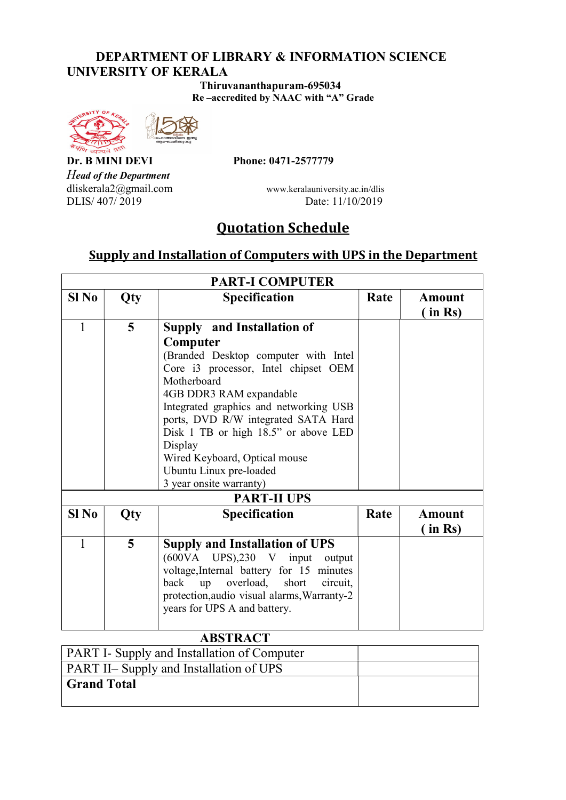#### DEPARTMENT OF LIBRARY & INFORMATION SCIENCE UNIVERSITY OF KERALA

 Thiruvananthapuram-695034 Re –accredited by NAAC with "A" Grade





Head of the Department<br>dliskerala2@gmail.com

Dr. B MINI DEVI Phone: 0471-2577779

www.keralauniversity.ac.in/dlis DLIS/ 407/ 2019 Date: 11/10/2019

# Quotation Schedule

### Supply and Installation of Computers with UPS in the Department

| <b>PART-I COMPUTER</b> |     |                                                                                                                                                                                                                                                                                                                                                                                                    |      |                             |  |
|------------------------|-----|----------------------------------------------------------------------------------------------------------------------------------------------------------------------------------------------------------------------------------------------------------------------------------------------------------------------------------------------------------------------------------------------------|------|-----------------------------|--|
| $SI$ No                | Qty | <b>Specification</b>                                                                                                                                                                                                                                                                                                                                                                               | Rate | <b>Amount</b><br>$\sin$ Rs) |  |
| $\mathbf{1}$           | 5   | <b>Supply and Installation of</b><br>Computer<br>(Branded Desktop computer with Intel<br>Core i3 processor, Intel chipset OEM<br>Motherboard<br>4GB DDR3 RAM expandable<br>Integrated graphics and networking USB<br>ports, DVD R/W integrated SATA Hard<br>Disk 1 TB or high 18.5" or above LED<br>Display<br>Wired Keyboard, Optical mouse<br>Ubuntu Linux pre-loaded<br>3 year onsite warranty) |      |                             |  |
| <b>PART-II UPS</b>     |     |                                                                                                                                                                                                                                                                                                                                                                                                    |      |                             |  |
| $SI$ No                | Qty | <b>Specification</b>                                                                                                                                                                                                                                                                                                                                                                               | Rate | Amount<br>in Rs)            |  |
| $\mathbf{1}$           | 5   | <b>Supply and Installation of UPS</b><br>(600VA UPS),230 V input output<br>voltage, Internal battery for 15 minutes<br>overload,<br>short<br>back<br>up<br>circuit,<br>protection, audio visual alarms, Warranty-2<br>years for UPS A and battery.                                                                                                                                                 |      |                             |  |
| <b>ABSTRACT</b>        |     |                                                                                                                                                                                                                                                                                                                                                                                                    |      |                             |  |

| .                                                  |  |
|----------------------------------------------------|--|
| <b>PART I- Supply and Installation of Computer</b> |  |
| <b>PART II– Supply and Installation of UPS</b>     |  |
| Grand Total                                        |  |
|                                                    |  |